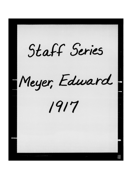Staff Series Meyer, Edward 1917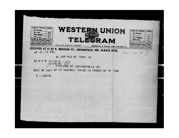